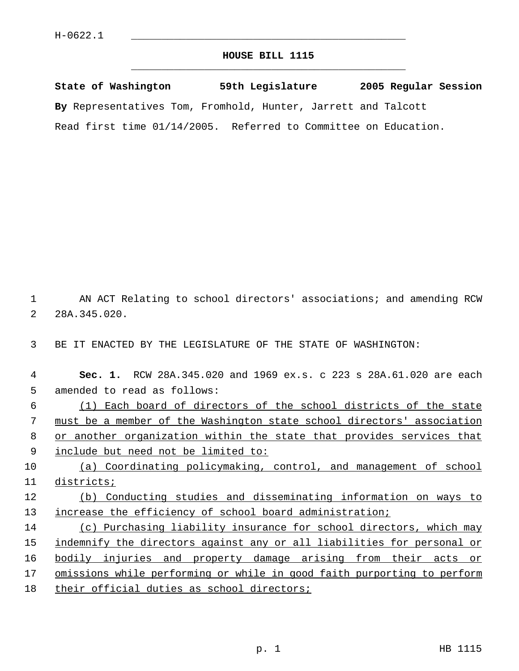## **HOUSE BILL 1115** \_\_\_\_\_\_\_\_\_\_\_\_\_\_\_\_\_\_\_\_\_\_\_\_\_\_\_\_\_\_\_\_\_\_\_\_\_\_\_\_\_\_\_\_\_

**State of Washington 59th Legislature 2005 Regular Session By** Representatives Tom, Fromhold, Hunter, Jarrett and Talcott Read first time 01/14/2005. Referred to Committee on Education.

 1 AN ACT Relating to school directors' associations; and amending RCW 2 28A.345.020.

3 BE IT ENACTED BY THE LEGISLATURE OF THE STATE OF WASHINGTON:

| 4  | RCW 28A.345.020 and 1969 ex.s. c 223 s 28A.61.020 are each<br>Sec. 1.   |
|----|-------------------------------------------------------------------------|
| 5  | amended to read as follows:                                             |
| 6  | Each board of directors of the school districts of the state            |
| 7  | must be a member of the Washington state school directors' association  |
| 8  | or another organization within the state that provides services that    |
| 9  | include but need not be limited to:                                     |
| 10 | Coordinating policymaking, control, and management of school<br>(a)     |
| 11 | districts;                                                              |
| 12 | Conducting studies and disseminating information on ways to<br>(b)      |
| 13 | increase the efficiency of school board administration;                 |
| 14 | (c) Purchasing liability insurance for school directors, which may      |
| 15 | indemnify the directors against any or all liabilities for personal or  |
| 16 | bodily injuries and property damage arising from their acts<br>or       |
| 17 | omissions while performing or while in good faith purporting to perform |
| 18 | their official duties as school directors;                              |